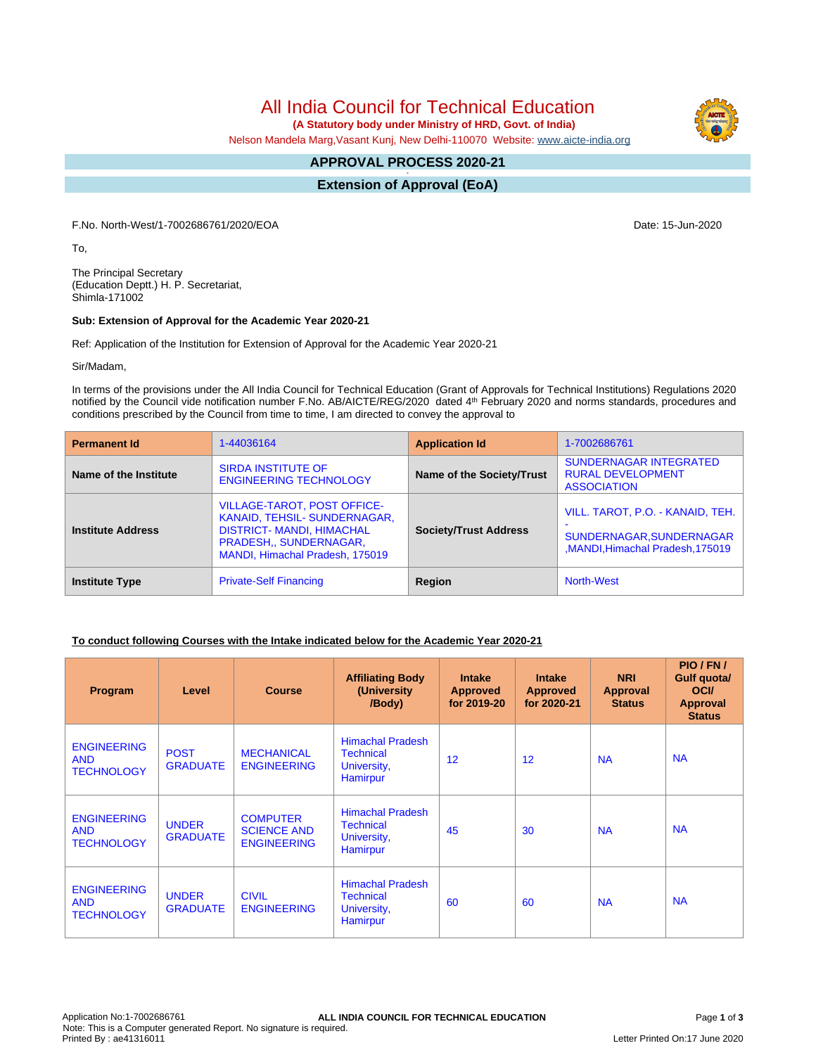# All India Council for Technical Education

 **(A Statutory body under Ministry of HRD, Govt. of India)**

Nelson Mandela Marg,Vasant Kunj, New Delhi-110070 Website: www.aicte-india.org

#### **APPROVAL PROCESS 2020-21 -**

**Extension of Approval (EoA)**

F.No. North-West/1-7002686761/2020/EOA Date: 15-Jun-2020

To,

The Principal Secretary (Education Deptt.) H. P. Secretariat, Shimla-171002

### **Sub: Extension of Approval for the Academic Year 2020-21**

Ref: Application of the Institution for Extension of Approval for the Academic Year 2020-21

Sir/Madam,

In terms of the provisions under the All India Council for Technical Education (Grant of Approvals for Technical Institutions) Regulations 2020 notified by the Council vide notification number F.No. AB/AICTE/REG/2020 dated 4<sup>th</sup> February 2020 and norms standards, procedures and conditions prescribed by the Council from time to time, I am directed to convey the approval to

| <b>Permanent Id</b>      | 1-44036164                                                                                                                                                          | <b>Application Id</b>        | 1-7002686761                                                                                  |
|--------------------------|---------------------------------------------------------------------------------------------------------------------------------------------------------------------|------------------------------|-----------------------------------------------------------------------------------------------|
| Name of the Institute    | <b>SIRDA INSTITUTE OF</b><br><b>ENGINEERING TECHNOLOGY</b>                                                                                                          | Name of the Society/Trust    | <b>SUNDERNAGAR INTEGRATED</b><br><b>RURAL DEVELOPMENT</b><br><b>ASSOCIATION</b>               |
| <b>Institute Address</b> | <b>VILLAGE-TAROT, POST OFFICE-</b><br>KANAID, TEHSIL- SUNDERNAGAR,<br><b>DISTRICT- MANDI, HIMACHAL</b><br>PRADESH., SUNDERNAGAR,<br>MANDI, Himachal Pradesh, 175019 | <b>Society/Trust Address</b> | VILL. TAROT, P.O. - KANAID, TEH.<br>SUNDERNAGAR, SUNDERNAGAR<br>MANDI.Himachal Pradesh.175019 |
| <b>Institute Type</b>    | <b>Private-Self Financing</b>                                                                                                                                       | Region                       | <b>North-West</b>                                                                             |

### **To conduct following Courses with the Intake indicated below for the Academic Year 2020-21**

| Program                                               | Level                           | <b>Course</b>                                               | <b>Affiliating Body</b><br>(University<br>/Body)                              | <b>Intake</b><br><b>Approved</b><br>for 2019-20 | <b>Intake</b><br><b>Approved</b><br>for 2020-21 | <b>NRI</b><br>Approval<br><b>Status</b> | PIO / FN /<br>Gulf quota/<br><b>OCI</b><br><b>Approval</b><br><b>Status</b> |
|-------------------------------------------------------|---------------------------------|-------------------------------------------------------------|-------------------------------------------------------------------------------|-------------------------------------------------|-------------------------------------------------|-----------------------------------------|-----------------------------------------------------------------------------|
| <b>ENGINEERING</b><br><b>AND</b><br><b>TECHNOLOGY</b> | <b>POST</b><br><b>GRADUATE</b>  | <b>MECHANICAL</b><br><b>ENGINEERING</b>                     | <b>Himachal Pradesh</b><br><b>Technical</b><br>University,<br>Hamirpur        | 12                                              | 12                                              | <b>NA</b>                               | <b>NA</b>                                                                   |
| <b>ENGINEERING</b><br><b>AND</b><br><b>TECHNOLOGY</b> | <b>UNDER</b><br><b>GRADUATE</b> | <b>COMPUTER</b><br><b>SCIENCE AND</b><br><b>ENGINEERING</b> | <b>Himachal Pradesh</b><br><b>Technical</b><br>University,<br><b>Hamirpur</b> | 45                                              | 30                                              | <b>NA</b>                               | <b>NA</b>                                                                   |
| <b>ENGINEERING</b><br><b>AND</b><br><b>TECHNOLOGY</b> | <b>UNDER</b><br><b>GRADUATE</b> | <b>CIVIL</b><br><b>ENGINEERING</b>                          | <b>Himachal Pradesh</b><br><b>Technical</b><br>University,<br><b>Hamirpur</b> | 60                                              | 60                                              | <b>NA</b>                               | <b>NA</b>                                                                   |

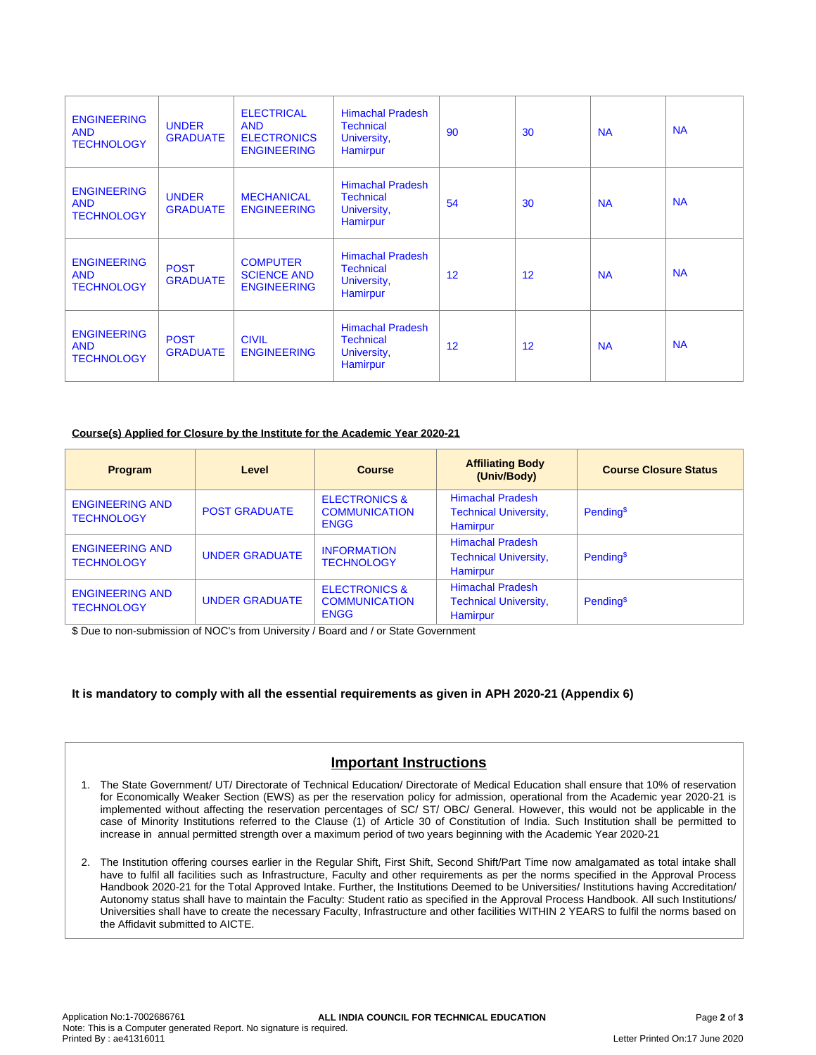| <b>ENGINEERING</b><br><b>AND</b><br><b>TECHNOLOGY</b> | <b>UNDER</b><br><b>GRADUATE</b> | <b>ELECTRICAL</b><br><b>AND</b><br><b>ELECTRONICS</b><br><b>ENGINEERING</b> | <b>Himachal Pradesh</b><br><b>Technical</b><br>University,<br>Hamirpur | 90 | 30 | <b>NA</b> | <b>NA</b> |
|-------------------------------------------------------|---------------------------------|-----------------------------------------------------------------------------|------------------------------------------------------------------------|----|----|-----------|-----------|
| <b>ENGINEERING</b><br><b>AND</b><br><b>TECHNOLOGY</b> | <b>UNDER</b><br><b>GRADUATE</b> | <b>MECHANICAL</b><br><b>ENGINEERING</b>                                     | <b>Himachal Pradesh</b><br><b>Technical</b><br>University,<br>Hamirpur | 54 | 30 | <b>NA</b> | <b>NA</b> |
| <b>ENGINEERING</b><br><b>AND</b><br><b>TECHNOLOGY</b> | <b>POST</b><br><b>GRADUATE</b>  | <b>COMPUTER</b><br><b>SCIENCE AND</b><br><b>ENGINEERING</b>                 | <b>Himachal Pradesh</b><br><b>Technical</b><br>University,<br>Hamirpur | 12 | 12 | <b>NA</b> | <b>NA</b> |
| <b>ENGINEERING</b><br><b>AND</b><br><b>TECHNOLOGY</b> | <b>POST</b><br><b>GRADUATE</b>  | <b>CIVIL</b><br><b>ENGINEERING</b>                                          | <b>Himachal Pradesh</b><br><b>Technical</b><br>University,<br>Hamirpur | 12 | 12 | <b>NA</b> | <b>NA</b> |

### **Course(s) Applied for Closure by the Institute for the Academic Year 2020-21**

| <b>Program</b>                              | Level                 | <b>Course</b>                                                   | <b>Affiliating Body</b><br>(Univ/Body)                                     | <b>Course Closure Status</b> |
|---------------------------------------------|-----------------------|-----------------------------------------------------------------|----------------------------------------------------------------------------|------------------------------|
| <b>ENGINEERING AND</b><br><b>TECHNOLOGY</b> | <b>POST GRADUATE</b>  | <b>ELECTRONICS &amp;</b><br><b>COMMUNICATION</b><br><b>ENGG</b> | <b>Himachal Pradesh</b><br><b>Technical University,</b><br><b>Hamirpur</b> | Pending <sup>\$</sup>        |
| <b>ENGINEERING AND</b><br><b>TECHNOLOGY</b> | <b>UNDER GRADUATE</b> | <b>INFORMATION</b><br><b>TECHNOLOGY</b>                         | <b>Himachal Pradesh</b><br><b>Technical University,</b><br>Hamirpur        | Pending <sup>\$</sup>        |
| <b>ENGINEERING AND</b><br><b>TECHNOLOGY</b> | <b>UNDER GRADUATE</b> | <b>ELECTRONICS &amp;</b><br><b>COMMUNICATION</b><br><b>ENGG</b> | <b>Himachal Pradesh</b><br><b>Technical University,</b><br><b>Hamirpur</b> | Pending <sup>\$</sup>        |

\$ Due to non-submission of NOC's from University / Board and / or State Government

### **It is mandatory to comply with all the essential requirements as given in APH 2020-21 (Appendix 6)**

## **Important Instructions**

- 1. The State Government/ UT/ Directorate of Technical Education/ Directorate of Medical Education shall ensure that 10% of reservation for Economically Weaker Section (EWS) as per the reservation policy for admission, operational from the Academic year 2020-21 is implemented without affecting the reservation percentages of SC/ ST/ OBC/ General. However, this would not be applicable in the case of Minority Institutions referred to the Clause (1) of Article 30 of Constitution of India. Such Institution shall be permitted to increase in annual permitted strength over a maximum period of two years beginning with the Academic Year 2020-21
- 2. The Institution offering courses earlier in the Regular Shift, First Shift, Second Shift/Part Time now amalgamated as total intake shall have to fulfil all facilities such as Infrastructure, Faculty and other requirements as per the norms specified in the Approval Process Handbook 2020-21 for the Total Approved Intake. Further, the Institutions Deemed to be Universities/ Institutions having Accreditation/ Autonomy status shall have to maintain the Faculty: Student ratio as specified in the Approval Process Handbook. All such Institutions/ Universities shall have to create the necessary Faculty, Infrastructure and other facilities WITHIN 2 YEARS to fulfil the norms based on the Affidavit submitted to AICTE.